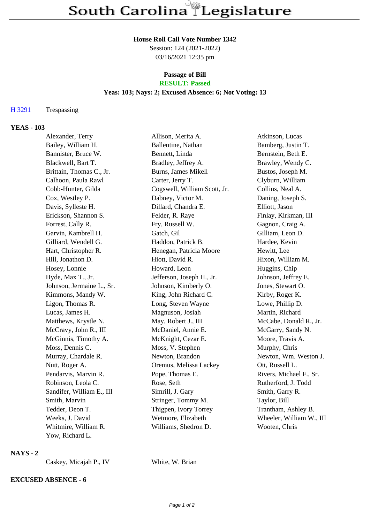#### **House Roll Call Vote Number 1342**

Session: 124 (2021-2022) 03/16/2021 12:35 pm

# **Passage of Bill**

## **RESULT: Passed**

#### **Yeas: 103; Nays: 2; Excused Absence: 6; Not Voting: 13**

#### H 3291 Trespassing

#### **YEAS - 103**

| Alexander, Terry          | Allison, Merita A.           | Atkinson, Lucas          |
|---------------------------|------------------------------|--------------------------|
| Bailey, William H.        | Ballentine, Nathan           | Bamberg, Justin T.       |
| Bannister, Bruce W.       | Bennett, Linda               | Bernstein, Beth E.       |
| Blackwell, Bart T.        | Bradley, Jeffrey A.          | Brawley, Wendy C.        |
| Brittain, Thomas C., Jr.  | Burns, James Mikell          | Bustos, Joseph M.        |
| Calhoon, Paula Rawl       | Carter, Jerry T.             | Clyburn, William         |
| Cobb-Hunter, Gilda        | Cogswell, William Scott, Jr. | Collins, Neal A.         |
| Cox, Westley P.           | Dabney, Victor M.            | Daning, Joseph S.        |
| Davis, Sylleste H.        | Dillard, Chandra E.          | Elliott, Jason           |
| Erickson, Shannon S.      | Felder, R. Raye              | Finlay, Kirkman, III     |
| Forrest, Cally R.         | Fry, Russell W.              | Gagnon, Craig A.         |
| Garvin, Kambrell H.       | Gatch, Gil                   | Gilliam, Leon D.         |
| Gilliard, Wendell G.      | Haddon, Patrick B.           | Hardee, Kevin            |
| Hart, Christopher R.      | Henegan, Patricia Moore      | Hewitt, Lee              |
| Hill, Jonathon D.         | Hiott, David R.              | Hixon, William M.        |
| Hosey, Lonnie             | Howard, Leon                 | Huggins, Chip            |
| Hyde, Max T., Jr.         | Jefferson, Joseph H., Jr.    | Johnson, Jeffrey E.      |
| Johnson, Jermaine L., Sr. | Johnson, Kimberly O.         | Jones, Stewart O.        |
| Kimmons, Mandy W.         | King, John Richard C.        | Kirby, Roger K.          |
| Ligon, Thomas R.          | Long, Steven Wayne           | Lowe, Phillip D.         |
| Lucas, James H.           | Magnuson, Josiah             | Martin, Richard          |
| Matthews, Krystle N.      | May, Robert J., III          | McCabe, Donald R., Jr.   |
| McCravy, John R., III     | McDaniel, Annie E.           | McGarry, Sandy N.        |
| McGinnis, Timothy A.      | McKnight, Cezar E.           | Moore, Travis A.         |
| Moss, Dennis C.           | Moss, V. Stephen             | Murphy, Chris            |
| Murray, Chardale R.       | Newton, Brandon              | Newton, Wm. Weston J.    |
| Nutt, Roger A.            | Oremus, Melissa Lackey       | Ott, Russell L.          |
| Pendarvis, Marvin R.      | Pope, Thomas E.              | Rivers, Michael F., Sr.  |
| Robinson, Leola C.        | Rose, Seth                   | Rutherford, J. Todd      |
| Sandifer, William E., III | Simrill, J. Gary             | Smith, Garry R.          |
| Smith, Marvin             | Stringer, Tommy M.           | Taylor, Bill             |
| Tedder, Deon T.           | Thigpen, Ivory Torrey        | Trantham, Ashley B.      |
| Weeks, J. David           | Wetmore, Elizabeth           | Wheeler, William W., III |
| Whitmire, William R.      | Williams, Shedron D.         | Wooten, Chris            |
| Yow, Richard L.           |                              |                          |

#### **NAYS - 2**

Caskey, Micajah P., IV White, W. Brian

### **EXCUSED ABSENCE - 6**